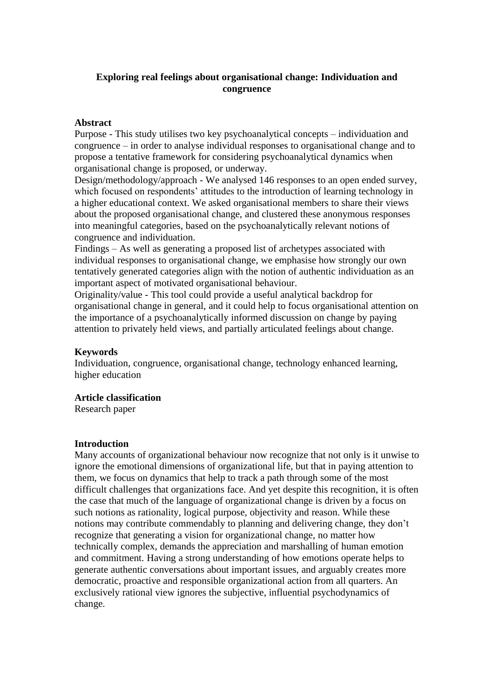# **Exploring real feelings about organisational change: Individuation and congruence**

#### **Abstract**

Purpose - This study utilises two key psychoanalytical concepts – individuation and congruence – in order to analyse individual responses to organisational change and to propose a tentative framework for considering psychoanalytical dynamics when organisational change is proposed, or underway.

Design/methodology/approach - We analysed 146 responses to an open ended survey, which focused on respondents' attitudes to the introduction of learning technology in a higher educational context. We asked organisational members to share their views about the proposed organisational change, and clustered these anonymous responses into meaningful categories, based on the psychoanalytically relevant notions of congruence and individuation.

Findings – As well as generating a proposed list of archetypes associated with individual responses to organisational change, we emphasise how strongly our own tentatively generated categories align with the notion of authentic individuation as an important aspect of motivated organisational behaviour.

Originality/value - This tool could provide a useful analytical backdrop for organisational change in general, and it could help to focus organisational attention on the importance of a psychoanalytically informed discussion on change by paying attention to privately held views, and partially articulated feelings about change.

#### **Keywords**

Individuation, congruence, organisational change, technology enhanced learning, higher education

## **Article classification**

Research paper

## **Introduction**

Many accounts of organizational behaviour now recognize that not only is it unwise to ignore the emotional dimensions of organizational life, but that in paying attention to them, we focus on dynamics that help to track a path through some of the most difficult challenges that organizations face. And yet despite this recognition, it is often the case that much of the language of organizational change is driven by a focus on such notions as rationality, logical purpose, objectivity and reason. While these notions may contribute commendably to planning and delivering change, they don't recognize that generating a vision for organizational change, no matter how technically complex, demands the appreciation and marshalling of human emotion and commitment. Having a strong understanding of how emotions operate helps to generate authentic conversations about important issues, and arguably creates more democratic, proactive and responsible organizational action from all quarters. An exclusively rational view ignores the subjective, influential psychodynamics of change.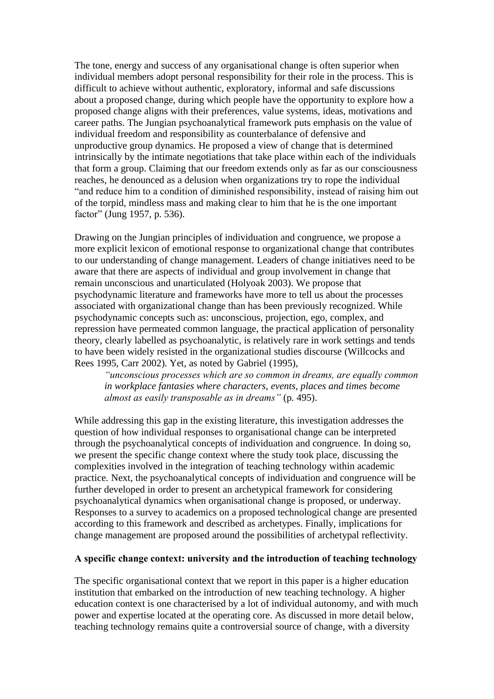The tone, energy and success of any organisational change is often superior when individual members adopt personal responsibility for their role in the process. This is difficult to achieve without authentic, exploratory, informal and safe discussions about a proposed change, during which people have the opportunity to explore how a proposed change aligns with their preferences, value systems, ideas, motivations and career paths. The Jungian psychoanalytical framework puts emphasis on the value of individual freedom and responsibility as counterbalance of defensive and unproductive group dynamics. He proposed a view of change that is determined intrinsically by the intimate negotiations that take place within each of the individuals that form a group. Claiming that our freedom extends only as far as our consciousness reaches, he denounced as a delusion when organizations try to rope the individual "and reduce him to a condition of diminished responsibility, instead of raising him out of the torpid, mindless mass and making clear to him that he is the one important factor" [\(Jung 1957, p. 536\)](#page-13-0).

Drawing on the Jungian principles of individuation and congruence, we propose a more explicit lexicon of emotional response to organizational change that contributes to our understanding of change management. Leaders of change initiatives need to be aware that there are aspects of individual and group involvement in change that remain unconscious and unarticulated [\(Holyoak 2003\)](#page-13-1). We propose that psychodynamic literature and frameworks have more to tell us about the processes associated with organizational change than has been previously recognized. While psychodynamic concepts such as: unconscious, projection, ego, complex, and repression have permeated common language, the practical application of personality theory, clearly labelled as psychoanalytic, is relatively rare in work settings and tends to have been widely resisted in the organizational studies discourse [\(Willcocks and](#page-14-0)  [Rees 1995,](#page-14-0) [Carr 2002\)](#page-12-0). Yet, as noted by Gabriel [\(1995\)](#page-13-2),

*"unconscious processes which are so common in dreams, are equally common in workplace fantasies where characters, events, places and times become almost as easily transposable as in dreams"* (p. 495).

While addressing this gap in the existing literature, this investigation addresses the question of how individual responses to organisational change can be interpreted through the psychoanalytical concepts of individuation and congruence. In doing so, we present the specific change context where the study took place, discussing the complexities involved in the integration of teaching technology within academic practice. Next, the psychoanalytical concepts of individuation and congruence will be further developed in order to present an archetypical framework for considering psychoanalytical dynamics when organisational change is proposed, or underway. Responses to a survey to academics on a proposed technological change are presented according to this framework and described as archetypes. Finally, implications for change management are proposed around the possibilities of archetypal reflectivity.

#### **A specific change context: university and the introduction of teaching technology**

The specific organisational context that we report in this paper is a higher education institution that embarked on the introduction of new teaching technology. A higher education context is one characterised by a lot of individual autonomy, and with much power and expertise located at the operating core. As discussed in more detail below, teaching technology remains quite a controversial source of change, with a diversity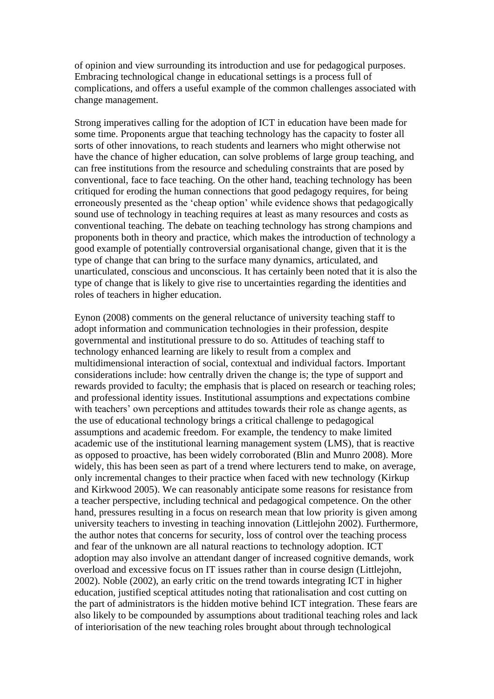of opinion and view surrounding its introduction and use for pedagogical purposes. Embracing technological change in educational settings is a process full of complications, and offers a useful example of the common challenges associated with change management.

Strong imperatives calling for the adoption of ICT in education have been made for some time. Proponents argue that teaching technology has the capacity to foster all sorts of other innovations, to reach students and learners who might otherwise not have the chance of higher education, can solve problems of large group teaching, and can free institutions from the resource and scheduling constraints that are posed by conventional, face to face teaching. On the other hand, teaching technology has been critiqued for eroding the human connections that good pedagogy requires, for being erroneously presented as the 'cheap option' while evidence shows that pedagogically sound use of technology in teaching requires at least as many resources and costs as conventional teaching. The debate on teaching technology has strong champions and proponents both in theory and practice, which makes the introduction of technology a good example of potentially controversial organisational change, given that it is the type of change that can bring to the surface many dynamics, articulated, and unarticulated, conscious and unconscious. It has certainly been noted that it is also the type of change that is likely to give rise to uncertainties regarding the identities and roles of teachers in higher education.

Eynon [\(2008\)](#page-12-1) comments on the general reluctance of university teaching staff to adopt information and communication technologies in their profession, despite governmental and institutional pressure to do so. Attitudes of teaching staff to technology enhanced learning are likely to result from a complex and multidimensional interaction of social, contextual and individual factors. Important considerations include: how centrally driven the change is; the type of support and rewards provided to faculty; the emphasis that is placed on research or teaching roles; and professional identity issues. Institutional assumptions and expectations combine with teachers' own perceptions and attitudes towards their role as change agents, as the use of educational technology brings a critical challenge to pedagogical assumptions and academic freedom. For example, the tendency to make limited academic use of the institutional learning management system (LMS), that is reactive as opposed to proactive, has been widely corroborated [\(Blin and Munro 2008\)](#page-12-2). More widely, this has been seen as part of a trend where lecturers tend to make, on average, only incremental changes to their practice when faced with new technology [\(Kirkup](#page-13-3)  [and Kirkwood 2005\)](#page-13-3). We can reasonably anticipate some reasons for resistance from a teacher perspective, including technical and pedagogical competence. On the other hand, pressures resulting in a focus on research mean that low priority is given among university teachers to investing in teaching innovation [\(Littlejohn 2002\)](#page-13-4). Furthermore, the author notes that concerns for security, loss of control over the teaching process and fear of the unknown are all natural reactions to technology adoption. ICT adoption may also involve an attendant danger of increased cognitive demands, work overload and excessive focus on IT issues rather than in course design (Littlejohn, 2002). Noble [\(2002\)](#page-13-5), an early critic on the trend towards integrating ICT in higher education, justified sceptical attitudes noting that rationalisation and cost cutting on the part of administrators is the hidden motive behind ICT integration. These fears are also likely to be compounded by assumptions about traditional teaching roles and lack of interiorisation of the new teaching roles brought about through technological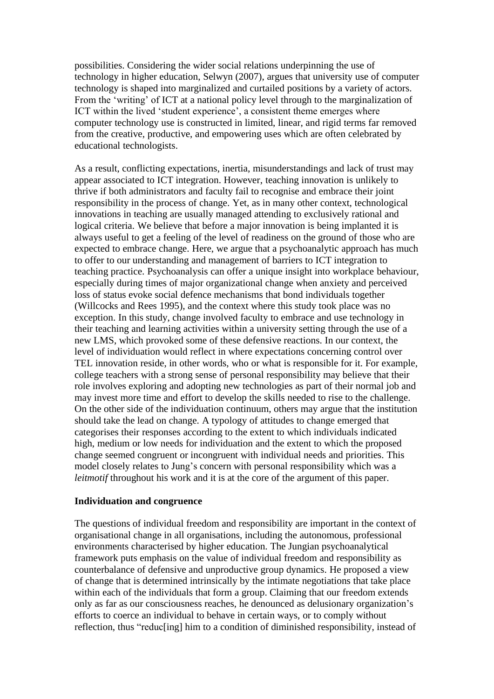possibilities. Considering the wider social relations underpinning the use of technology in higher education, Selwyn [\(2007\)](#page-13-6), argues that university use of computer technology is shaped into marginalized and curtailed positions by a variety of actors. From the 'writing' of ICT at a national policy level through to the marginalization of ICT within the lived 'student experience', a consistent theme emerges where computer technology use is constructed in limited, linear, and rigid terms far removed from the creative, productive, and empowering uses which are often celebrated by educational technologists.

As a result, conflicting expectations, inertia, misunderstandings and lack of trust may appear associated to ICT integration. However, teaching innovation is unlikely to thrive if both administrators and faculty fail to recognise and embrace their joint responsibility in the process of change. Yet, as in many other context, technological innovations in teaching are usually managed attending to exclusively rational and logical criteria. We believe that before a major innovation is being implanted it is always useful to get a feeling of the level of readiness on the ground of those who are expected to embrace change. Here, we argue that a psychoanalytic approach has much to offer to our understanding and management of barriers to ICT integration to teaching practice. Psychoanalysis can offer a unique insight into workplace behaviour, especially during times of major organizational change when anxiety and perceived loss of status evoke social defence mechanisms that bond individuals together [\(Willcocks and Rees 1995\)](#page-14-0), and the context where this study took place was no exception. In this study, change involved faculty to embrace and use technology in their teaching and learning activities within a university setting through the use of a new LMS, which provoked some of these defensive reactions. In our context, the level of individuation would reflect in where expectations concerning control over TEL innovation reside, in other words, who or what is responsible for it. For example, college teachers with a strong sense of personal responsibility may believe that their role involves exploring and adopting new technologies as part of their normal job and may invest more time and effort to develop the skills needed to rise to the challenge. On the other side of the individuation continuum, others may argue that the institution should take the lead on change. A typology of attitudes to change emerged that categorises their responses according to the extent to which individuals indicated high, medium or low needs for individuation and the extent to which the proposed change seemed congruent or incongruent with individual needs and priorities. This model closely relates to Jung's concern with personal responsibility which was a *leitmotif* throughout his work and it is at the core of the argument of this paper.

## **Individuation and congruence**

The questions of individual freedom and responsibility are important in the context of organisational change in all organisations, including the autonomous, professional environments characterised by higher education. The Jungian psychoanalytical framework puts emphasis on the value of individual freedom and responsibility as counterbalance of defensive and unproductive group dynamics. He proposed a view of change that is determined intrinsically by the intimate negotiations that take place within each of the individuals that form a group. Claiming that our freedom extends only as far as our consciousness reaches, he denounced as delusionary organization's efforts to coerce an individual to behave in certain ways, or to comply without reflection, thus "reduc[ing] him to a condition of diminished responsibility, instead of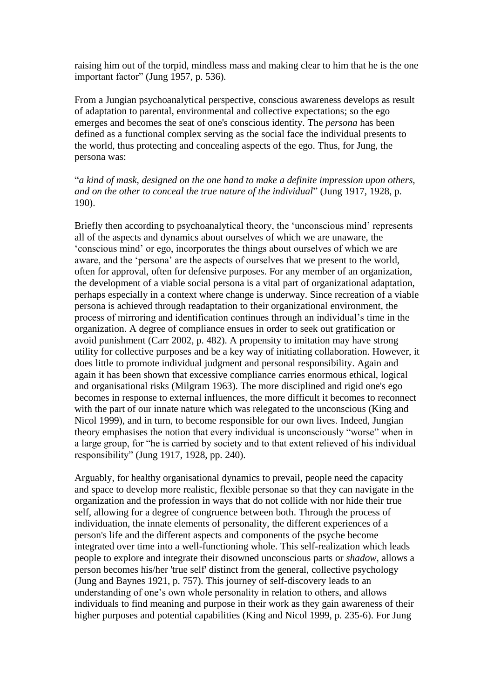raising him out of the torpid, mindless mass and making clear to him that he is the one important factor" [\(Jung 1957, p. 536\)](#page-13-0).

From a Jungian psychoanalytical perspective, conscious awareness develops as result of adaptation to parental, environmental and collective expectations; so the ego emerges and becomes the seat of one's conscious identity. The *persona* has been defined as a functional complex serving as the social face the individual presents to the world, thus protecting and concealing aspects of the ego. Thus, for Jung, the persona was:

"*a kind of mask, designed on the one hand to make a definite impression upon others, and on the other to conceal the true nature of the individual*" [\(Jung 1917, 1928, p.](#page-13-7)  [190\)](#page-13-7).

Briefly then according to psychoanalytical theory, the 'unconscious mind' represents all of the aspects and dynamics about ourselves of which we are unaware, the 'conscious mind' or ego, incorporates the things about ourselves of which we are aware, and the 'persona' are the aspects of ourselves that we present to the world, often for approval, often for defensive purposes. For any member of an organization, the development of a viable social persona is a vital part of organizational adaptation, perhaps especially in a context where change is underway. Since recreation of a viable persona is achieved through readaptation to their organizational environment, the process of mirroring and identification continues through an individual's time in the organization. A degree of compliance ensues in order to seek out gratification or avoid punishment [\(Carr 2002, p. 482\)](#page-12-0). A propensity to imitation may have strong utility for collective purposes and be a key way of initiating collaboration. However, it does little to promote individual judgment and personal responsibility. Again and again it has been shown that excessive compliance carries enormous ethical, logical and organisational risks [\(Milgram 1963\)](#page-13-8). The more disciplined and rigid one's ego becomes in response to external influences, the more difficult it becomes to reconnect with the part of our innate nature which was relegated to the unconscious [\(King and](#page-13-9)  [Nicol 1999\)](#page-13-9), and in turn, to become responsible for our own lives. Indeed, Jungian theory emphasises the notion that every individual is unconsciously "worse" when in a large group, for "he is carried by society and to that extent relieved of his individual responsibility" [\(Jung 1917, 1928, pp. 240\)](#page-13-7).

Arguably, for healthy organisational dynamics to prevail, people need the capacity and space to develop more realistic, flexible personae so that they can navigate in the organization and the profession in ways that do not collide with nor hide their true self, allowing for a degree of congruence between both. Through the process of individuation, the innate elements of personality, the different experiences of a person's life and the different aspects and components of the psyche become integrated over time into a well-functioning whole. This self-realization which leads people to explore and integrate their disowned unconscious parts or *shadow*, allows a person becomes his/her 'true self' distinct from the general, collective psychology [\(Jung and Baynes 1921,](#page-13-10) p. 757). This journey of self-discovery leads to an understanding of one's own whole personality in relation to others, and allows individuals to find meaning and purpose in their work as they gain awareness of their higher purposes and potential capabilities [\(King and Nicol 1999, p. 235-6\)](#page-13-9). For Jung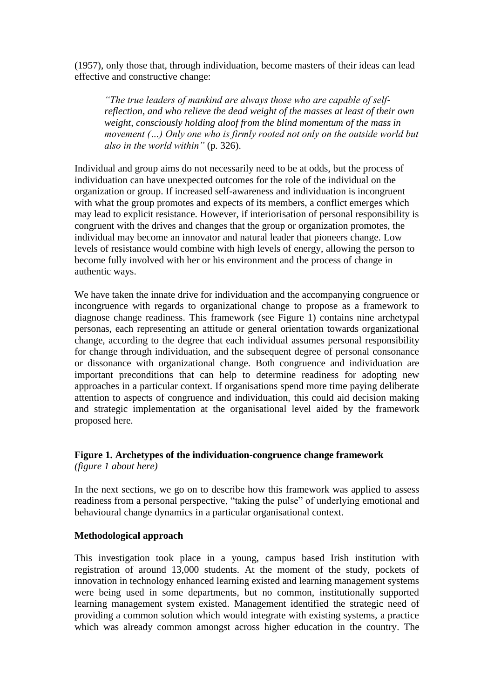[\(1957\)](#page-13-0), only those that, through individuation, become masters of their ideas can lead effective and constructive change:

*"The true leaders of mankind are always those who are capable of selfreflection, and who relieve the dead weight of the masses at least of their own weight, consciously holding aloof from the blind momentum of the mass in movement (…) Only one who is firmly rooted not only on the outside world but also in the world within"* (p. 326).

Individual and group aims do not necessarily need to be at odds, but the process of individuation can have unexpected outcomes for the role of the individual on the organization or group. If increased self-awareness and individuation is incongruent with what the group promotes and expects of its members, a conflict emerges which may lead to explicit resistance. However, if interiorisation of personal responsibility is congruent with the drives and changes that the group or organization promotes, the individual may become an innovator and natural leader that pioneers change. Low levels of resistance would combine with high levels of energy, allowing the person to become fully involved with her or his environment and the process of change in authentic ways.

We have taken the innate drive for individuation and the accompanying congruence or incongruence with regards to organizational change to propose as a framework to diagnose change readiness. This framework (see Figure 1) contains nine archetypal personas, each representing an attitude or general orientation towards organizational change, according to the degree that each individual assumes personal responsibility for change through individuation, and the subsequent degree of personal consonance or dissonance with organizational change. Both congruence and individuation are important preconditions that can help to determine readiness for adopting new approaches in a particular context. If organisations spend more time paying deliberate attention to aspects of congruence and individuation, this could aid decision making and strategic implementation at the organisational level aided by the framework proposed here.

## **Figure 1. Archetypes of the individuation-congruence change framework**  *(figure 1 about here)*

In the next sections, we go on to describe how this framework was applied to assess readiness from a personal perspective, "taking the pulse" of underlying emotional and behavioural change dynamics in a particular organisational context.

# **Methodological approach**

This investigation took place in a young, campus based Irish institution with registration of around 13,000 students. At the moment of the study, pockets of innovation in technology enhanced learning existed and learning management systems were being used in some departments, but no common, institutionally supported learning management system existed. Management identified the strategic need of providing a common solution which would integrate with existing systems, a practice which was already common amongst across higher education in the country. The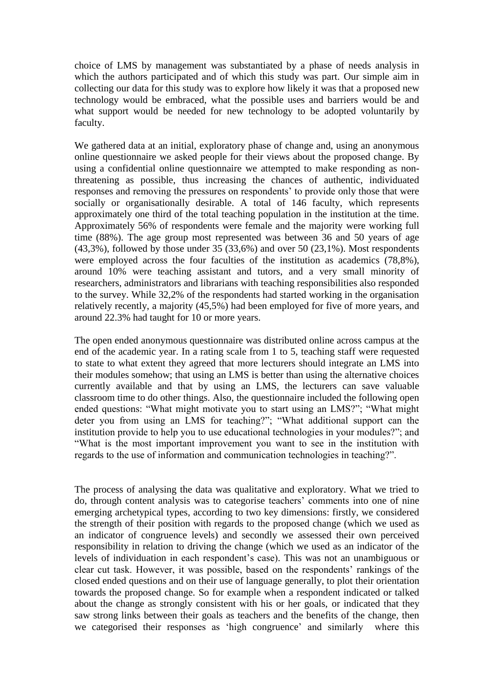choice of LMS by management was substantiated by a phase of needs analysis in which the authors participated and of which this study was part. Our simple aim in collecting our data for this study was to explore how likely it was that a proposed new technology would be embraced, what the possible uses and barriers would be and what support would be needed for new technology to be adopted voluntarily by faculty.

We gathered data at an initial, exploratory phase of change and, using an anonymous online questionnaire we asked people for their views about the proposed change. By using a confidential online questionnaire we attempted to make responding as nonthreatening as possible, thus increasing the chances of authentic, individuated responses and removing the pressures on respondents' to provide only those that were socially or organisationally desirable. A total of 146 faculty, which represents approximately one third of the total teaching population in the institution at the time. Approximately 56% of respondents were female and the majority were working full time (88%). The age group most represented was between 36 and 50 years of age  $(43,3\%)$ , followed by those under 35 (33,6%) and over 50 (23,1%). Most respondents were employed across the four faculties of the institution as academics (78,8%), around 10% were teaching assistant and tutors, and a very small minority of researchers, administrators and librarians with teaching responsibilities also responded to the survey. While 32,2% of the respondents had started working in the organisation relatively recently, a majority (45,5%) had been employed for five of more years, and around 22.3% had taught for 10 or more years.

The open ended anonymous questionnaire was distributed online across campus at the end of the academic year. In a rating scale from 1 to 5, teaching staff were requested to state to what extent they agreed that more lecturers should integrate an LMS into their modules somehow; that using an LMS is better than using the alternative choices currently available and that by using an LMS, the lecturers can save valuable classroom time to do other things. Also, the questionnaire included the following open ended questions: "What might motivate you to start using an LMS?"; "What might deter you from using an LMS for teaching?"; "What additional support can the institution provide to help you to use educational technologies in your modules?"; and "What is the most important improvement you want to see in the institution with regards to the use of information and communication technologies in teaching?".

The process of analysing the data was qualitative and exploratory. What we tried to do, through content analysis was to categorise teachers' comments into one of nine emerging archetypical types, according to two key dimensions: firstly, we considered the strength of their position with regards to the proposed change (which we used as an indicator of congruence levels) and secondly we assessed their own perceived responsibility in relation to driving the change (which we used as an indicator of the levels of individuation in each respondent's case). This was not an unambiguous or clear cut task. However, it was possible, based on the respondents' rankings of the closed ended questions and on their use of language generally, to plot their orientation towards the proposed change. So for example when a respondent indicated or talked about the change as strongly consistent with his or her goals, or indicated that they saw strong links between their goals as teachers and the benefits of the change, then we categorised their responses as 'high congruence' and similarly where this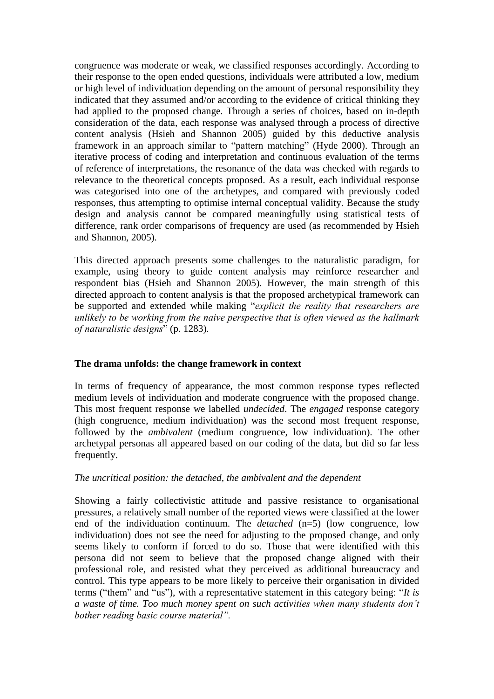congruence was moderate or weak, we classified responses accordingly. According to their response to the open ended questions, individuals were attributed a low, medium or high level of individuation depending on the amount of personal responsibility they indicated that they assumed and/or according to the evidence of critical thinking they had applied to the proposed change. Through a series of choices, based on in-depth consideration of the data, each response was analysed through a process of directive content analysis [\(Hsieh and Shannon 2005\)](#page-13-11) guided by this deductive analysis framework in an approach similar to "pattern matching" [\(Hyde 2000\)](#page-13-12). Through an iterative process of coding and interpretation and continuous evaluation of the terms of reference of interpretations, the resonance of the data was checked with regards to relevance to the theoretical concepts proposed. As a result, each individual response was categorised into one of the archetypes, and compared with previously coded responses, thus attempting to optimise internal conceptual validity. Because the study design and analysis cannot be compared meaningfully using statistical tests of difference, rank order comparisons of frequency are used (as recommended by Hsieh and Shannon, 2005).

This directed approach presents some challenges to the naturalistic paradigm, for example, using theory to guide content analysis may reinforce researcher and respondent bias [\(Hsieh and Shannon 2005\)](#page-13-11). However, the main strength of this directed approach to content analysis is that the proposed archetypical framework can be supported and extended while making "*explicit the reality that researchers are unlikely to be working from the naive perspective that is often viewed as the hallmark of naturalistic designs*" (p. 1283).

# **The drama unfolds: the change framework in context**

In terms of frequency of appearance, the most common response types reflected medium levels of individuation and moderate congruence with the proposed change. This most frequent response we labelled *undecided*. The *engaged* response category (high congruence, medium individuation) was the second most frequent response, followed by the *ambivalent* (medium congruence, low individuation). The other archetypal personas all appeared based on our coding of the data, but did so far less frequently.

# *The uncritical position: the detached, the ambivalent and the dependent*

Showing a fairly collectivistic attitude and passive resistance to organisational pressures, a relatively small number of the reported views were classified at the lower end of the individuation continuum. The *detached* (n=5) (low congruence, low individuation) does not see the need for adjusting to the proposed change, and only seems likely to conform if forced to do so. Those that were identified with this persona did not seem to believe that the proposed change aligned with their professional role, and resisted what they perceived as additional bureaucracy and control. This type appears to be more likely to perceive their organisation in divided terms ("them" and "us"), with a representative statement in this category being: "*It is a waste of time. Too much money spent on such activities when many students don't bother reading basic course material".*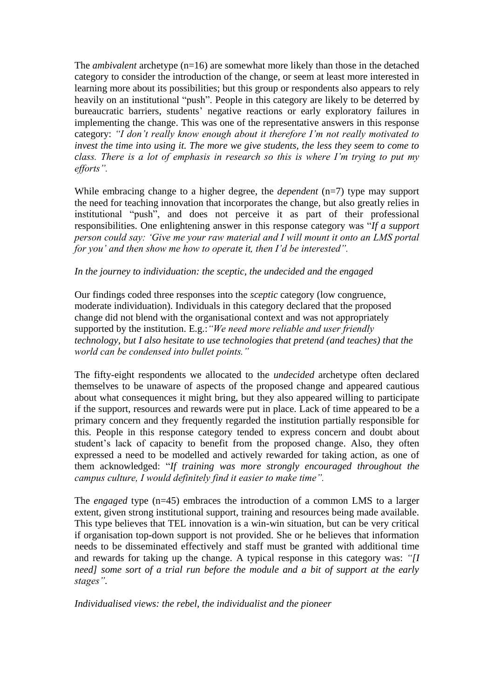The *ambivalent* archetype (n=16) are somewhat more likely than those in the detached category to consider the introduction of the change, or seem at least more interested in learning more about its possibilities; but this group or respondents also appears to rely heavily on an institutional "push". People in this category are likely to be deterred by bureaucratic barriers, students' negative reactions or early exploratory failures in implementing the change. This was one of the representative answers in this response category: *"I don't really know enough about it therefore I'm not really motivated to invest the time into using it. The more we give students, the less they seem to come to class. There is a lot of emphasis in research so this is where I'm trying to put my efforts".* 

While embracing change to a higher degree, the *dependent* (n=7) type may support the need for teaching innovation that incorporates the change, but also greatly relies in institutional "push", and does not perceive it as part of their professional responsibilities. One enlightening answer in this response category was "*If a support person could say: 'Give me your raw material and I will mount it onto an LMS portal for you' and then show me how to operate it, then I'd be interested".*

## *In the journey to individuation: the sceptic, the undecided and the engaged*

Our findings coded three responses into the *sceptic* category (low congruence, moderate individuation). Individuals in this category declared that the proposed change did not blend with the organisational context and was not appropriately supported by the institution. E.g.:*"We need more reliable and user friendly technology, but I also hesitate to use technologies that pretend (and teaches) that the world can be condensed into bullet points."*

The fifty-eight respondents we allocated to the *undecided* archetype often declared themselves to be unaware of aspects of the proposed change and appeared cautious about what consequences it might bring, but they also appeared willing to participate if the support, resources and rewards were put in place. Lack of time appeared to be a primary concern and they frequently regarded the institution partially responsible for this. People in this response category tended to express concern and doubt about student's lack of capacity to benefit from the proposed change. Also, they often expressed a need to be modelled and actively rewarded for taking action, as one of them acknowledged: "*If training was more strongly encouraged throughout the campus culture, I would definitely find it easier to make time".* 

The *engaged* type (n=45) embraces the introduction of a common LMS to a larger extent, given strong institutional support, training and resources being made available. This type believes that TEL innovation is a win-win situation, but can be very critical if organisation top-down support is not provided. She or he believes that information needs to be disseminated effectively and staff must be granted with additional time and rewards for taking up the change. A typical response in this category was: *"[I need]* some sort of a trial run before the module and a bit of support at the early *stages".*

*Individualised views: the rebel, the individualist and the pioneer*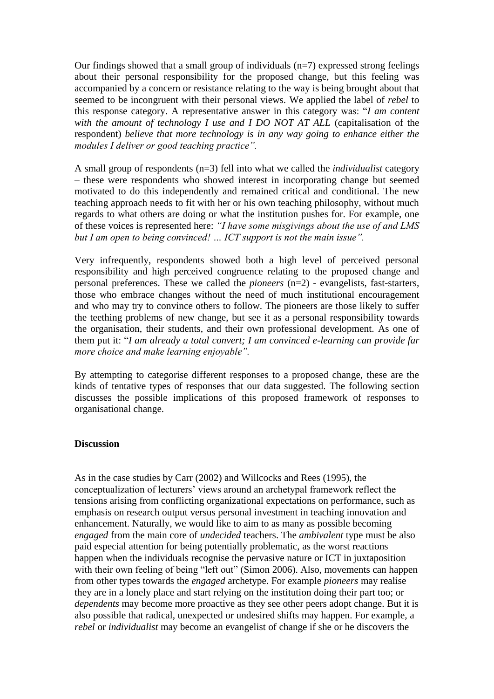Our findings showed that a small group of individuals  $(n=7)$  expressed strong feelings about their personal responsibility for the proposed change, but this feeling was accompanied by a concern or resistance relating to the way is being brought about that seemed to be incongruent with their personal views. We applied the label of *rebel* to this response category. A representative answer in this category was: "*I am content*  with the amount of technology *I* use and *I DO NOT AT ALL* (capitalisation of the respondent) *believe that more technology is in any way going to enhance either the modules I deliver or good teaching practice".*

A small group of respondents (n=3) fell into what we called the *individualist* category – these were respondents who showed interest in incorporating change but seemed motivated to do this independently and remained critical and conditional. The new teaching approach needs to fit with her or his own teaching philosophy, without much regards to what others are doing or what the institution pushes for. For example, one of these voices is represented here: *"I have some misgivings about the use of and LMS but I am open to being convinced! … ICT support is not the main issue".*

Very infrequently, respondents showed both a high level of perceived personal responsibility and high perceived congruence relating to the proposed change and personal preferences. These we called the *pioneers* (n=2) - evangelists, fast-starters, those who embrace changes without the need of much institutional encouragement and who may try to convince others to follow. The pioneers are those likely to suffer the teething problems of new change, but see it as a personal responsibility towards the organisation, their students, and their own professional development. As one of them put it: "*I am already a total convert; I am convinced e-learning can provide far more choice and make learning enjoyable".* 

By attempting to categorise different responses to a proposed change, these are the kinds of tentative types of responses that our data suggested. The following section discusses the possible implications of this proposed framework of responses to organisational change.

## **Discussion**

As in the case studies by Carr [\(2002\)](#page-12-0) and Willcocks and Rees [\(1995\)](#page-14-0), the conceptualization of lecturers' views around an archetypal framework reflect the tensions arising from conflicting organizational expectations on performance, such as emphasis on research output versus personal investment in teaching innovation and enhancement. Naturally, we would like to aim to as many as possible becoming *engaged* from the main core of *undecided* teachers. The *ambivalent* type must be also paid especial attention for being potentially problematic, as the worst reactions happen when the individuals recognise the pervasive nature or ICT in juxtaposition with their own feeling of being "left out" [\(Simon 2006\)](#page-13-13). Also, movements can happen from other types towards the *engaged* archetype. For example *pioneers* may realise they are in a lonely place and start relying on the institution doing their part too; or *dependents* may become more proactive as they see other peers adopt change. But it is also possible that radical, unexpected or undesired shifts may happen. For example, a *rebel* or *individualist* may become an evangelist of change if she or he discovers the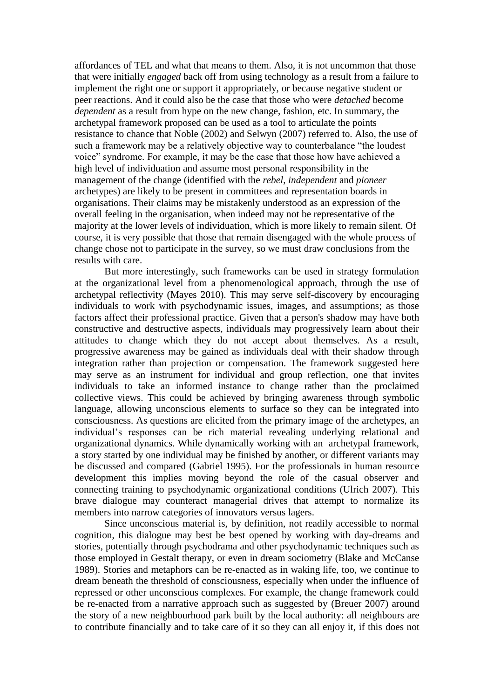affordances of TEL and what that means to them. Also, it is not uncommon that those that were initially *engaged* back off from using technology as a result from a failure to implement the right one or support it appropriately, or because negative student or peer reactions. And it could also be the case that those who were *detached* become *dependent* as a result from hype on the new change, fashion, etc. In summary, the archetypal framework proposed can be used as a tool to articulate the points resistance to chance that Noble [\(2002\)](#page-13-5) and Selwyn [\(2007\)](#page-13-6) referred to. Also, the use of such a framework may be a relatively objective way to counterbalance "the loudest voice" syndrome. For example, it may be the case that those how have achieved a high level of individuation and assume most personal responsibility in the management of the change (identified with the *rebel*, *independent* and *pioneer* archetypes) are likely to be present in committees and representation boards in organisations. Their claims may be mistakenly understood as an expression of the overall feeling in the organisation, when indeed may not be representative of the majority at the lower levels of individuation, which is more likely to remain silent. Of course, it is very possible that those that remain disengaged with the whole process of change chose not to participate in the survey, so we must draw conclusions from the results with care.

But more interestingly, such frameworks can be used in strategy formulation at the organizational level from a phenomenological approach, through the use of archetypal reflectivity [\(Mayes 2010\)](#page-13-14). This may serve self-discovery by encouraging individuals to work with psychodynamic issues, images, and assumptions; as those factors affect their professional practice. Given that a person's shadow may have both constructive and destructive aspects, individuals may progressively learn about their attitudes to change which they do not accept about themselves. As a result, progressive awareness may be gained as individuals deal with their shadow through integration rather than projection or compensation. The framework suggested here may serve as an instrument for individual and group reflection, one that invites individuals to take an informed instance to change rather than the proclaimed collective views. This could be achieved by bringing awareness through symbolic language, allowing unconscious elements to surface so they can be integrated into consciousness. As questions are elicited from the primary image of the archetypes, an individual's responses can be rich material revealing underlying relational and organizational dynamics. While dynamically working with an archetypal framework, a story started by one individual may be finished by another, or different variants may be discussed and compared [\(Gabriel 1995\)](#page-13-2). For the professionals in human resource development this implies moving beyond the role of the casual observer and connecting training to psychodynamic organizational conditions [\(Ulrich 2007\)](#page-14-1). This brave dialogue may counteract managerial drives that attempt to normalize its members into narrow categories of innovators versus lagers.

Since unconscious material is, by definition, not readily accessible to normal cognition, this dialogue may best be best opened by working with day-dreams and stories, potentially through psychodrama and other psychodynamic techniques such as those employed in Gestalt therapy, or even in dream sociometry [\(Blake and McCanse](#page-12-3)  [1989\)](#page-12-3). Stories and metaphors can be re-enacted as in waking life, too, we continue to dream beneath the threshold of consciousness, especially when under the influence of repressed or other unconscious complexes. For example, the change framework could be re-enacted from a narrative approach such as suggested by [\(Breuer 2007\)](#page-12-4) around the story of a new neighbourhood park built by the local authority: all neighbours are to contribute financially and to take care of it so they can all enjoy it, if this does not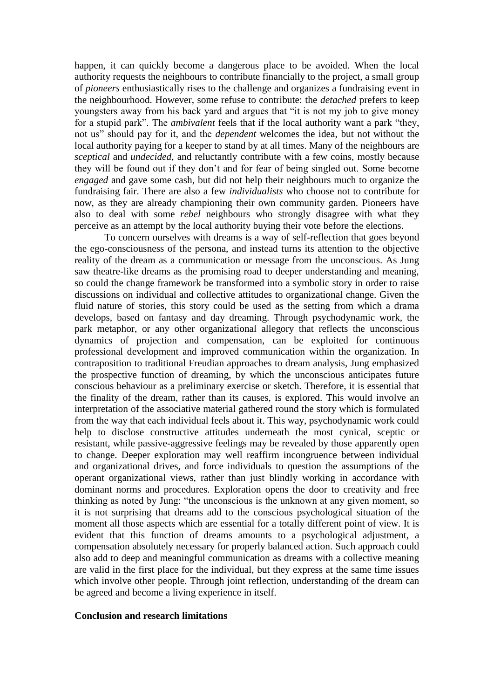happen, it can quickly become a dangerous place to be avoided. When the local authority requests the neighbours to contribute financially to the project, a small group of *pioneers* enthusiastically rises to the challenge and organizes a fundraising event in the neighbourhood. However, some refuse to contribute: the *detached* prefers to keep youngsters away from his back yard and argues that "it is not my job to give money for a stupid park". The *ambivalent* feels that if the local authority want a park "they, not us" should pay for it, and the *dependent* welcomes the idea, but not without the local authority paying for a keeper to stand by at all times. Many of the neighbours are *sceptical* and *undecided*, and reluctantly contribute with a few coins, mostly because they will be found out if they don't and for fear of being singled out. Some become *engaged* and gave some cash, but did not help their neighbours much to organize the fundraising fair. There are also a few *individualists* who choose not to contribute for now, as they are already championing their own community garden. Pioneers have also to deal with some *rebel* neighbours who strongly disagree with what they perceive as an attempt by the local authority buying their vote before the elections.

To concern ourselves with dreams is a way of self-reflection that goes beyond the ego-consciousness of the persona, and instead turns its attention to the objective reality of the dream as a communication or message from the unconscious. As Jung saw theatre-like dreams as the promising road to deeper understanding and meaning, so could the change framework be transformed into a symbolic story in order to raise discussions on individual and collective attitudes to organizational change. Given the fluid nature of stories, this story could be used as the setting from which a drama develops, based on fantasy and day dreaming. Through psychodynamic work, the park metaphor, or any other organizational allegory that reflects the unconscious dynamics of projection and compensation, can be exploited for continuous professional development and improved communication within the organization. In contraposition to traditional Freudian approaches to dream analysis, Jung emphasized the prospective function of dreaming, by which the unconscious anticipates future conscious behaviour as a preliminary exercise or sketch. Therefore, it is essential that the finality of the dream, rather than its causes, is explored. This would involve an interpretation of the associative material gathered round the story which is formulated from the way that each individual feels about it. This way, psychodynamic work could help to disclose constructive attitudes underneath the most cynical, sceptic or resistant, while passive-aggressive feelings may be revealed by those apparently open to change. Deeper exploration may well reaffirm incongruence between individual and organizational drives, and force individuals to question the assumptions of the operant organizational views, rather than just blindly working in accordance with dominant norms and procedures. Exploration opens the door to creativity and free thinking as noted by Jung: "the unconscious is the unknown at any given moment, so it is not surprising that dreams add to the conscious psychological situation of the moment all those aspects which are essential for a totally different point of view. It is evident that this function of dreams amounts to a psychological adjustment, a compensation absolutely necessary for properly balanced action. Such approach could also add to deep and meaningful communication as dreams with a collective meaning are valid in the first place for the individual, but they express at the same time issues which involve other people. Through joint reflection, understanding of the dream can be agreed and become a living experience in itself.

#### **Conclusion and research limitations**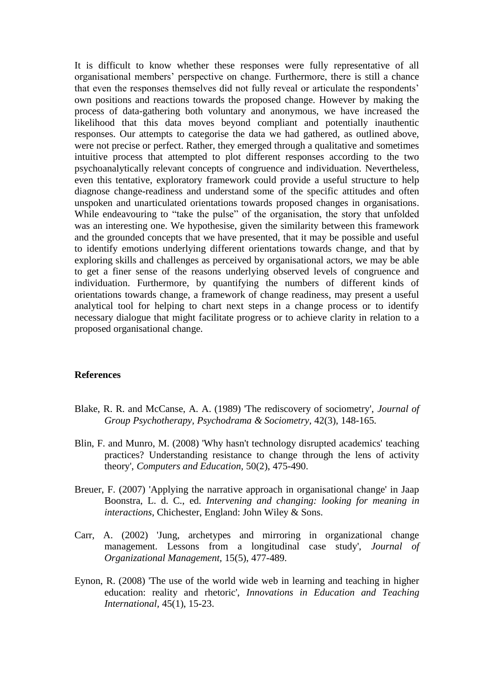It is difficult to know whether these responses were fully representative of all organisational members' perspective on change. Furthermore, there is still a chance that even the responses themselves did not fully reveal or articulate the respondents' own positions and reactions towards the proposed change. However by making the process of data-gathering both voluntary and anonymous, we have increased the likelihood that this data moves beyond compliant and potentially inauthentic responses. Our attempts to categorise the data we had gathered, as outlined above, were not precise or perfect. Rather, they emerged through a qualitative and sometimes intuitive process that attempted to plot different responses according to the two psychoanalytically relevant concepts of congruence and individuation. Nevertheless, even this tentative, exploratory framework could provide a useful structure to help diagnose change-readiness and understand some of the specific attitudes and often unspoken and unarticulated orientations towards proposed changes in organisations. While endeavouring to "take the pulse" of the organisation, the story that unfolded was an interesting one. We hypothesise, given the similarity between this framework and the grounded concepts that we have presented, that it may be possible and useful to identify emotions underlying different orientations towards change, and that by exploring skills and challenges as perceived by organisational actors, we may be able to get a finer sense of the reasons underlying observed levels of congruence and individuation. Furthermore, by quantifying the numbers of different kinds of orientations towards change, a framework of change readiness, may present a useful analytical tool for helping to chart next steps in a change process or to identify necessary dialogue that might facilitate progress or to achieve clarity in relation to a proposed organisational change.

#### **References**

- <span id="page-12-3"></span>Blake, R. R. and McCanse, A. A. (1989) 'The rediscovery of sociometry', *Journal of Group Psychotherapy, Psychodrama & Sociometry,* 42(3), 148-165.
- <span id="page-12-2"></span>Blin, F. and Munro, M. (2008) 'Why hasn't technology disrupted academics' teaching practices? Understanding resistance to change through the lens of activity theory', *Computers and Education,* 50(2), 475-490.
- <span id="page-12-4"></span>Breuer, F. (2007) 'Applying the narrative approach in organisational change' in Jaap Boonstra, L. d. C., ed. *Intervening and changing: looking for meaning in interactions*, Chichester, England: John Wiley & Sons.
- <span id="page-12-0"></span>Carr, A. (2002) 'Jung, archetypes and mirroring in organizational change management. Lessons from a longitudinal case study', *Journal of Organizational Management,* 15(5), 477-489.
- <span id="page-12-1"></span>Eynon, R. (2008) 'The use of the world wide web in learning and teaching in higher education: reality and rhetoric', *Innovations in Education and Teaching International,* 45(1), 15-23.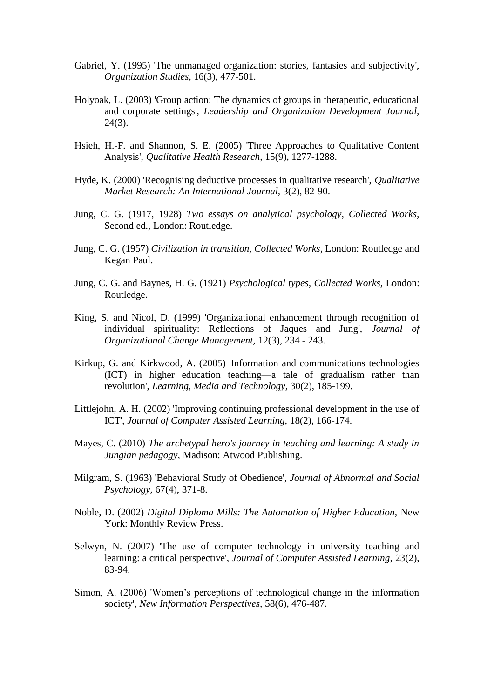- <span id="page-13-2"></span>Gabriel, Y. (1995) 'The unmanaged organization: stories, fantasies and subjectivity', *Organization Studies,* 16(3), 477-501.
- <span id="page-13-1"></span>Holyoak, L. (2003) 'Group action: The dynamics of groups in therapeutic, educational and corporate settings', *Leadership and Organization Development Journal,*  $24(3)$ .
- <span id="page-13-11"></span>Hsieh, H.-F. and Shannon, S. E. (2005) 'Three Approaches to Qualitative Content Analysis', *Qualitative Health Research,* 15(9), 1277-1288.
- <span id="page-13-12"></span>Hyde, K. (2000) 'Recognising deductive processes in qualitative research', *Qualitative Market Research: An International Journal,* 3(2), 82-90.
- <span id="page-13-7"></span>Jung, C. G. (1917, 1928) *Two essays on analytical psychology, Collected Works,*  Second ed.*,* London: Routledge.
- <span id="page-13-0"></span>Jung, C. G. (1957) *Civilization in transition, Collected Works,* London: Routledge and Kegan Paul.
- <span id="page-13-10"></span>Jung, C. G. and Baynes, H. G. (1921) *Psychological types, Collected Works,* London: Routledge.
- <span id="page-13-9"></span>King, S. and Nicol, D. (1999) 'Organizational enhancement through recognition of individual spirituality: Reflections of Jaques and Jung', *Journal of Organizational Change Management,* 12(3), 234 - 243.
- <span id="page-13-3"></span>Kirkup, G. and Kirkwood, A. (2005) 'Information and communications technologies (ICT) in higher education teaching—a tale of gradualism rather than revolution', *Learning, Media and Technology,* 30(2), 185-199.
- <span id="page-13-4"></span>Littlejohn, A. H. (2002) 'Improving continuing professional development in the use of ICT', *Journal of Computer Assisted Learning,* 18(2), 166-174.
- <span id="page-13-14"></span>Mayes, C. (2010) *The archetypal hero's journey in teaching and learning: A study in Jungian pedagogy,* Madison: Atwood Publishing.
- <span id="page-13-8"></span>Milgram, S. (1963) 'Behavioral Study of Obedience', *Journal of Abnormal and Social Psychology,* 67(4), 371-8.
- <span id="page-13-5"></span>Noble, D. (2002) *Digital Diploma Mills: The Automation of Higher Education,* New York: Monthly Review Press.
- <span id="page-13-6"></span>Selwyn, N. (2007) 'The use of computer technology in university teaching and learning: a critical perspective', *Journal of Computer Assisted Learning,* 23(2), 83-94.
- <span id="page-13-13"></span>Simon, A. (2006) 'Women's perceptions of technological change in the information society', *New Information Perspectives,* 58(6), 476-487.